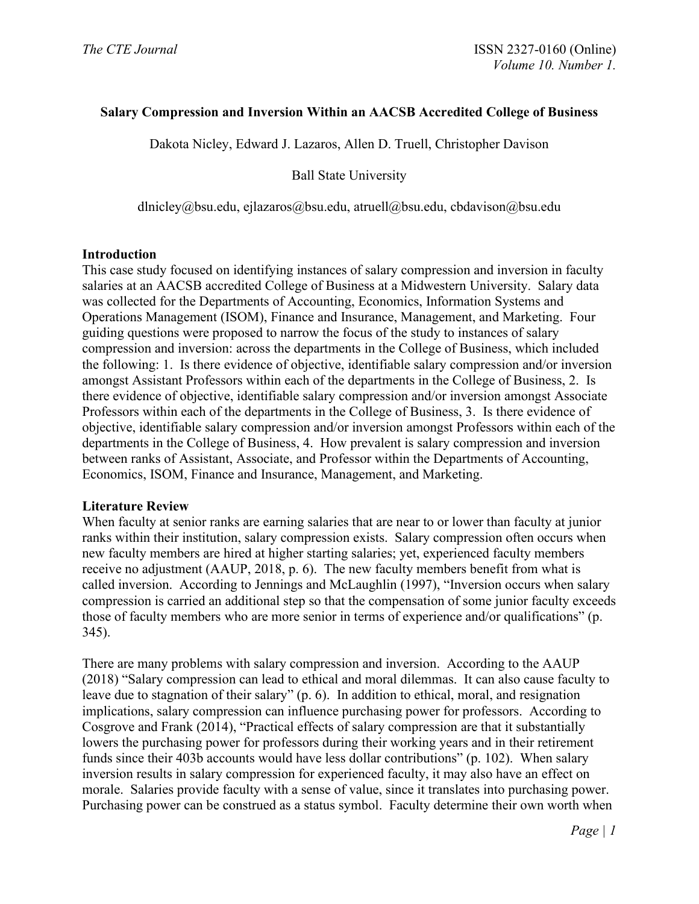### **Salary Compression and Inversion Within an AACSB Accredited College of Business**

Dakota Nicley, Edward J. Lazaros, Allen D. Truell, Christopher Davison

Ball State University

dlnicley@bsu.edu, ejlazaros@bsu.edu, atruell@bsu.edu, cbdavison@bsu.edu

#### **Introduction**

This case study focused on identifying instances of salary compression and inversion in faculty salaries at an AACSB accredited College of Business at a Midwestern University. Salary data was collected for the Departments of Accounting, Economics, Information Systems and Operations Management (ISOM), Finance and Insurance, Management, and Marketing. Four guiding questions were proposed to narrow the focus of the study to instances of salary compression and inversion: across the departments in the College of Business, which included the following: 1. Is there evidence of objective, identifiable salary compression and/or inversion amongst Assistant Professors within each of the departments in the College of Business, 2. Is there evidence of objective, identifiable salary compression and/or inversion amongst Associate Professors within each of the departments in the College of Business, 3. Is there evidence of objective, identifiable salary compression and/or inversion amongst Professors within each of the departments in the College of Business, 4. How prevalent is salary compression and inversion between ranks of Assistant, Associate, and Professor within the Departments of Accounting, Economics, ISOM, Finance and Insurance, Management, and Marketing.

### **Literature Review**

When faculty at senior ranks are earning salaries that are near to or lower than faculty at junior ranks within their institution, salary compression exists. Salary compression often occurs when new faculty members are hired at higher starting salaries; yet, experienced faculty members receive no adjustment (AAUP, 2018, p. 6). The new faculty members benefit from what is called inversion. According to Jennings and McLaughlin (1997), "Inversion occurs when salary compression is carried an additional step so that the compensation of some junior faculty exceeds those of faculty members who are more senior in terms of experience and/or qualifications" (p. 345).

There are many problems with salary compression and inversion. According to the AAUP (2018) "Salary compression can lead to ethical and moral dilemmas. It can also cause faculty to leave due to stagnation of their salary" (p. 6). In addition to ethical, moral, and resignation implications, salary compression can influence purchasing power for professors. According to Cosgrove and Frank (2014), "Practical effects of salary compression are that it substantially lowers the purchasing power for professors during their working years and in their retirement funds since their 403b accounts would have less dollar contributions" (p. 102). When salary inversion results in salary compression for experienced faculty, it may also have an effect on morale. Salaries provide faculty with a sense of value, since it translates into purchasing power. Purchasing power can be construed as a status symbol. Faculty determine their own worth when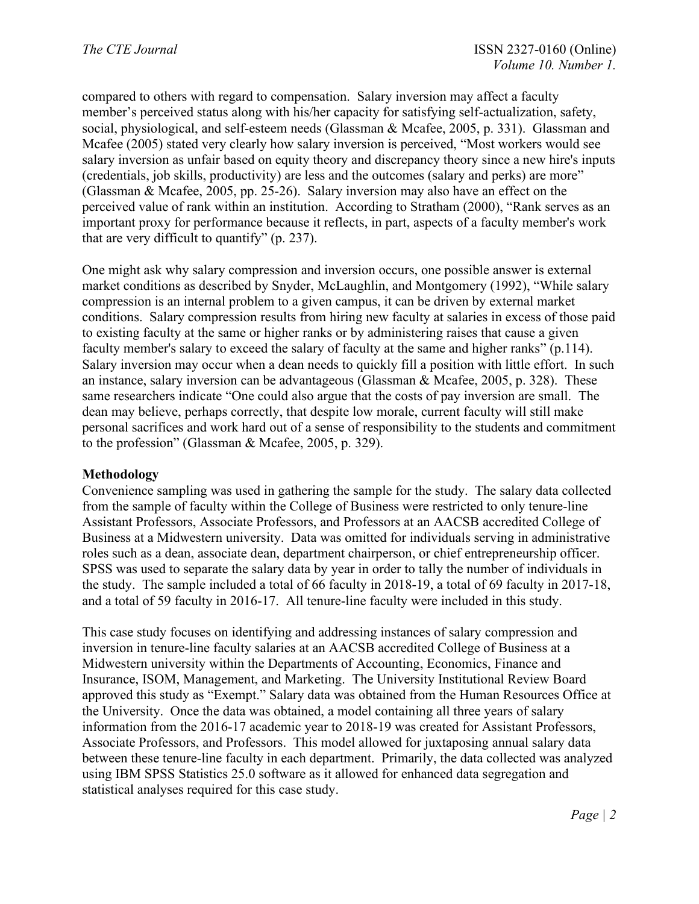compared to others with regard to compensation. Salary inversion may affect a faculty member's perceived status along with his/her capacity for satisfying self-actualization, safety, social, physiological, and self-esteem needs (Glassman & Mcafee, 2005, p. 331). Glassman and Mcafee (2005) stated very clearly how salary inversion is perceived, "Most workers would see salary inversion as unfair based on equity theory and discrepancy theory since a new hire's inputs (credentials, job skills, productivity) are less and the outcomes (salary and perks) are more" (Glassman & Mcafee, 2005, pp. 25-26). Salary inversion may also have an effect on the perceived value of rank within an institution. According to Stratham (2000), "Rank serves as an important proxy for performance because it reflects, in part, aspects of a faculty member's work that are very difficult to quantify" (p. 237).

One might ask why salary compression and inversion occurs, one possible answer is external market conditions as described by Snyder, McLaughlin, and Montgomery (1992), "While salary compression is an internal problem to a given campus, it can be driven by external market conditions. Salary compression results from hiring new faculty at salaries in excess of those paid to existing faculty at the same or higher ranks or by administering raises that cause a given faculty member's salary to exceed the salary of faculty at the same and higher ranks" (p.114). Salary inversion may occur when a dean needs to quickly fill a position with little effort. In such an instance, salary inversion can be advantageous (Glassman & Mcafee, 2005, p. 328). These same researchers indicate "One could also argue that the costs of pay inversion are small. The dean may believe, perhaps correctly, that despite low morale, current faculty will still make personal sacrifices and work hard out of a sense of responsibility to the students and commitment to the profession" (Glassman & Mcafee, 2005, p. 329).

### **Methodology**

Convenience sampling was used in gathering the sample for the study. The salary data collected from the sample of faculty within the College of Business were restricted to only tenure-line Assistant Professors, Associate Professors, and Professors at an AACSB accredited College of Business at a Midwestern university. Data was omitted for individuals serving in administrative roles such as a dean, associate dean, department chairperson, or chief entrepreneurship officer. SPSS was used to separate the salary data by year in order to tally the number of individuals in the study. The sample included a total of 66 faculty in 2018-19, a total of 69 faculty in 2017-18, and a total of 59 faculty in 2016-17. All tenure-line faculty were included in this study.

This case study focuses on identifying and addressing instances of salary compression and inversion in tenure-line faculty salaries at an AACSB accredited College of Business at a Midwestern university within the Departments of Accounting, Economics, Finance and Insurance, ISOM, Management, and Marketing. The University Institutional Review Board approved this study as "Exempt." Salary data was obtained from the Human Resources Office at the University. Once the data was obtained, a model containing all three years of salary information from the 2016-17 academic year to 2018-19 was created for Assistant Professors, Associate Professors, and Professors. This model allowed for juxtaposing annual salary data between these tenure-line faculty in each department. Primarily, the data collected was analyzed using IBM SPSS Statistics 25.0 software as it allowed for enhanced data segregation and statistical analyses required for this case study.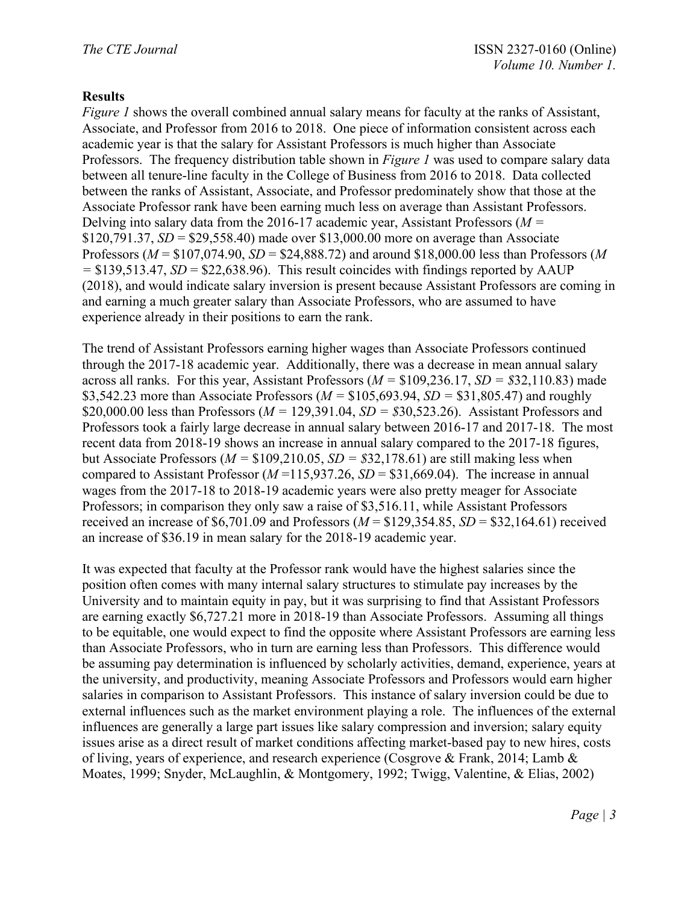### **Results**

*Figure 1* shows the overall combined annual salary means for faculty at the ranks of Assistant, Associate, and Professor from 2016 to 2018. One piece of information consistent across each academic year is that the salary for Assistant Professors is much higher than Associate Professors. The frequency distribution table shown in *Figure 1* was used to compare salary data between all tenure-line faculty in the College of Business from 2016 to 2018. Data collected between the ranks of Assistant, Associate, and Professor predominately show that those at the Associate Professor rank have been earning much less on average than Assistant Professors. Delving into salary data from the 2016-17 academic year, Assistant Professors (*M =*  \$120,791.37, *SD* = \$29,558.40) made over \$13,000.00 more on average than Associate Professors (*M* = \$107,074.90, *SD* = \$24,888.72) and around \$18,000.00 less than Professors (*M*   $=$  \$139,513.47, *SD* = \$22,638.96). This result coincides with findings reported by AAUP (2018), and would indicate salary inversion is present because Assistant Professors are coming in and earning a much greater salary than Associate Professors, who are assumed to have experience already in their positions to earn the rank.

The trend of Assistant Professors earning higher wages than Associate Professors continued through the 2017-18 academic year. Additionally, there was a decrease in mean annual salary across all ranks. For this year, Assistant Professors (*M =* \$109,236.17, *SD = \$*32,110.83) made \$3,542.23 more than Associate Professors (*M =* \$105,693.94, *SD =* \$31,805.47) and roughly \$20,000.00 less than Professors (*M =* 129,391.04, *SD = \$*30,523.26). Assistant Professors and Professors took a fairly large decrease in annual salary between 2016-17 and 2017-18. The most recent data from 2018-19 shows an increase in annual salary compared to the 2017-18 figures, but Associate Professors (*M =* \$109,210.05, *SD = \$*32,178.61) are still making less when compared to Assistant Professor ( $M = 115,937.26$ ,  $SD = $31,669.04$ ). The increase in annual wages from the 2017-18 to 2018-19 academic years were also pretty meager for Associate Professors; in comparison they only saw a raise of \$3,516.11, while Assistant Professors received an increase of \$6,701.09 and Professors ( $M = $129,354.85$ ,  $SD = $32,164.61$ ) received an increase of \$36.19 in mean salary for the 2018-19 academic year.

It was expected that faculty at the Professor rank would have the highest salaries since the position often comes with many internal salary structures to stimulate pay increases by the University and to maintain equity in pay, but it was surprising to find that Assistant Professors are earning exactly \$6,727.21 more in 2018-19 than Associate Professors. Assuming all things to be equitable, one would expect to find the opposite where Assistant Professors are earning less than Associate Professors, who in turn are earning less than Professors. This difference would be assuming pay determination is influenced by scholarly activities, demand, experience, years at the university, and productivity, meaning Associate Professors and Professors would earn higher salaries in comparison to Assistant Professors. This instance of salary inversion could be due to external influences such as the market environment playing a role. The influences of the external influences are generally a large part issues like salary compression and inversion; salary equity issues arise as a direct result of market conditions affecting market-based pay to new hires, costs of living, years of experience, and research experience (Cosgrove & Frank, 2014; Lamb & Moates, 1999; Snyder, McLaughlin, & Montgomery, 1992; Twigg, Valentine, & Elias, 2002)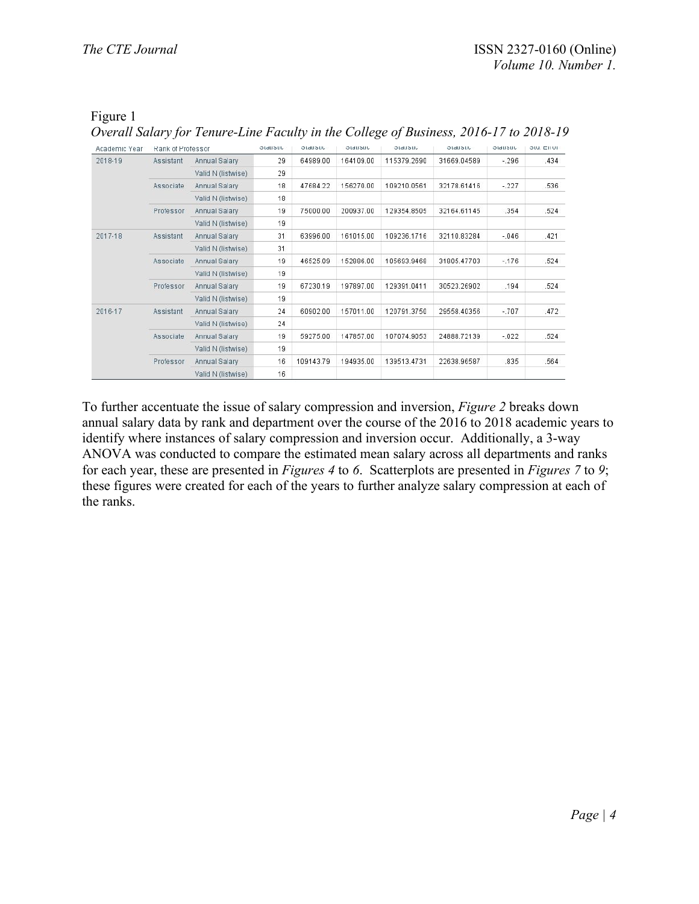### Figure 1

*Overall Salary for Tenure-Line Faculty in the College of Business, 2016-17 to 2018-19*

| Academic Year | Rank of Professor |                    | otausuc | otausuc   | <b>Statistic</b> | prananc     | <b>Stausuc</b> | otausuc | Stu. Effor |
|---------------|-------------------|--------------------|---------|-----------|------------------|-------------|----------------|---------|------------|
| 2018-19       | Assistant         | Annual Salary      | 29      | 64989.00  | 164109.00        | 115379.2690 | 31669.04589    | $-296$  | .434       |
|               |                   | Valid N (listwise) | 29      |           |                  |             |                |         |            |
|               | Associate         | Annual Salary      | 18      | 47684.22  | 156270.00        | 109210.0561 | 32178.61416    | $-.227$ | .536       |
|               |                   | Valid N (listwise) | 18      |           |                  |             |                |         |            |
|               | Professor         | Annual Salary      | 19      | 75000.00  | 200937.00        | 129354.8505 | 32164.61145    | .354    | .524       |
|               |                   | Valid N (listwise) | 19      |           |                  |             |                |         |            |
| 2017-18       | Assistant         | Annual Salary      | 31      | 63996.00  | 161015.00        | 109236.1716 | 32110.83284    | $-.046$ | .421       |
|               |                   | Valid N (listwise) | 31      |           |                  |             |                |         |            |
|               | Associate         | Annual Salary      | 19      | 46525.09  | 152886.00        | 105693.9468 | 31805.47703    | $-176$  | .524       |
|               |                   | Valid N (listwise) | 19      |           |                  |             |                |         |            |
|               | Professor         | Annual Salary      | 19      | 67230.19  | 197897.00        | 129391.0411 | 30523.26902    | .194    | .524       |
|               |                   | Valid N (listwise) | 19      |           |                  |             |                |         |            |
| 2016-17       | Assistant         | Annual Salary      | 24      | 60902.00  | 157011.00        | 120791.3750 | 29558.40356    | $-.707$ | .472       |
|               |                   | Valid N (listwise) | 24      |           |                  |             |                |         |            |
|               | Associate         | Annual Salary      | 19      | 59275.00  | 147857.00        | 107074.9053 | 24888.72139    | $-.022$ | .524       |
|               |                   | Valid N (listwise) | 19      |           |                  |             |                |         |            |
|               | Professor         | Annual Salary      | 16      | 109143.79 | 194935.00        | 139513.4731 | 22638.96587    | .835    | .564       |
|               |                   | Valid N (listwise) | 16      |           |                  |             |                |         |            |

To further accentuate the issue of salary compression and inversion, *Figure 2* breaks down annual salary data by rank and department over the course of the 2016 to 2018 academic years to identify where instances of salary compression and inversion occur. Additionally, a 3-way ANOVA was conducted to compare the estimated mean salary across all departments and ranks for each year, these are presented in *Figures 4* to *6*. Scatterplots are presented in *Figures 7* to *9*; these figures were created for each of the years to further analyze salary compression at each of the ranks.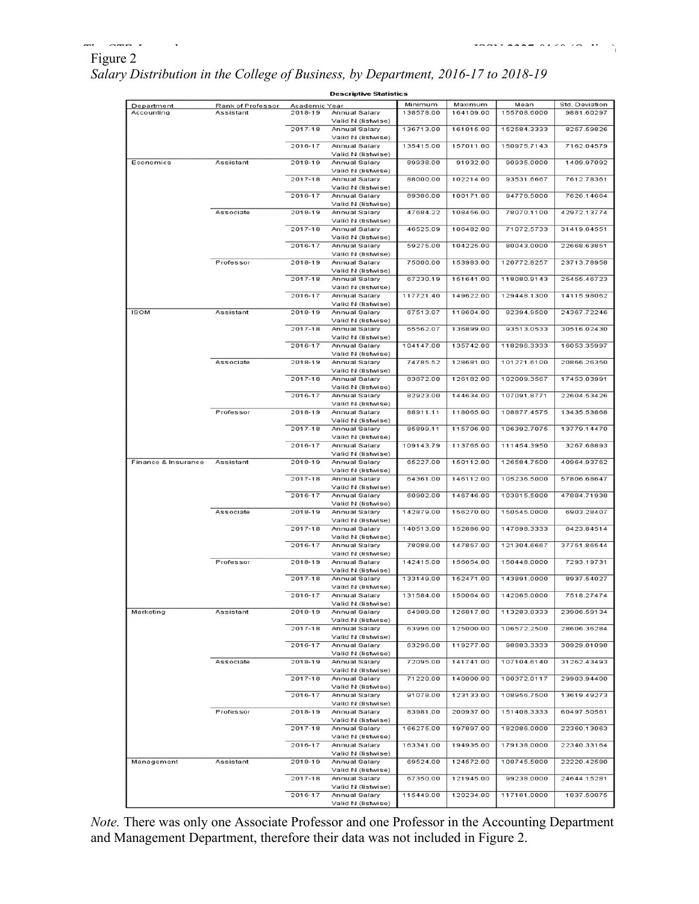# Figure 2

| r igure z                                                                         |  |  |
|-----------------------------------------------------------------------------------|--|--|
| Salary Distribution in the College of Business, by Department, 2016-17 to 2018-19 |  |  |

|                     |                   |               | <b>Descriptive Statistics</b>       |           |           |             |                |
|---------------------|-------------------|---------------|-------------------------------------|-----------|-----------|-------------|----------------|
| Department          | Rank of Professor | Academic Year |                                     | Minimum   | Maximum   | Mean        | Std. Deviation |
| Accounting          | Assistant         | 2018-19       | Annual Salary<br>Valid N (listwise) | 138578.00 | 164109.00 | 155708.6000 | 9881.60297     |
|                     |                   | 2017-18       | Annual Salary<br>Valid N (listwise) | 136713.00 | 161015.00 | 152584.3333 | 8257.59826     |
|                     |                   | 2016-17       | Annual Salary<br>Valid N (listwise) | 135415.00 | 157011.00 | 150975.7143 | 7162.04579     |
| Economics           | Assistant         | 2018-19       | Annual Salary<br>Valid N (listwise) | 89938.00  | 91932.00  | 90935.0000  | 1409.97092     |
|                     |                   | 2017-18       | Annual Salary<br>Valid N (listwise) | 88000.00  | 102214.00 | 93531.6667  | 7612.78361     |
|                     |                   | 2016-17       | Annual Salary<br>Valid N (listwise) | 89386.00  | 100171.00 | 94778.5000  | 7626.14664     |
|                     | Associate         | 2018-19       | Annual Salary<br>Valid N (listwise) | 47684.22  | 108456.00 | 78070.1100  | 42972.13774    |
|                     |                   | 2017-18       | Annual Salary<br>Valid N (listwise) | 46525.09  | 106482.00 | 71072.5733  | 31419.64551    |
|                     |                   | 2016-17       | Annual Salary<br>Valid N (listwise) | 59275.00  | 104225.00 | 80043.0000  | 22668.63851    |
|                     | Professor         | 2018-19       | Annual Salary<br>Valid N (listwise) | 75000.00  | 153983.00 | 120772.8257 | 23713.78958    |
|                     |                   | 2017-18       | Annual Salary<br>Valid N (listwise) | 67230.19  | 151641.00 | 118080.9143 | 25455.46723    |
|                     |                   | 2016-17       | Annual Salary<br>Valid N (listwise) | 117721.40 | 149622.00 | 129448.1300 | 14115.98062    |
| <b>ISOM</b>         | Assistant         | 2018-19       | Annual Salary<br>Valid N (listwise) | 67513.07  | 118604.00 | 82394.9500  | 24367.72246    |
|                     |                   | 2017-18       | Annual Salary<br>Valid N (listwise) | 65562.07  | 136899.00 | 93513.0533  | 30516.02430    |
|                     |                   | 2016-17       | Annual Salary<br>Valid N (listwise) | 104147.00 | 135742.00 | 118296.3333 | 16053.35997    |
|                     | Associate         | 2018-19       | Annual Salary<br>Valid N (listwise) | 74785.52  | 128681.00 | 101271.6100 | 20866.26350    |
|                     |                   | 2017-18       | Annual Salary<br>Valid N (listwise) | 83872.00  | 126182.00 | 102009.3567 | 17453.03991    |
|                     |                   | 2016-17       | Annual Salary<br>Valid N (listwise) | 82923.00  | 144634.00 | 107091.8771 | 22604.53426    |
|                     | Professor         | 2018-19       | Annual Salary<br>Valid N (listwise) | 88911.11  | 118065.00 | 108877.4575 | 13435.53868    |
|                     |                   | 2017-18       | Annual Salary<br>Valid N (listwise) | 85899.11  | 115706.00 | 106392.7075 | 13779.14470    |
|                     |                   | 2016-17       | Annual Salary<br>Valid N (listwise) | 109143.79 | 113765.00 | 111454.3950 | 3267.68893     |
| Finance & Insurance | Assistant         | 2018-19       | Annual Salary<br>Valid N (listwise) | 65227.00  | 150112.00 | 126584.7500 | 40964.93762    |
|                     |                   | 2017-18       | Annual Salary<br>Valid N (listwise) | 64361.00  | 146112.00 | 105236.5000 | 57806.68647    |
|                     |                   | 2016-17       | Annual Salary<br>Valid N (listwise) | 60902.00  | 146746.00 | 103815.5000 | 47884.71938    |
|                     | Associate         | 2018-19       | Annual Salary<br>Valid N (listwise) | 142879.00 | 156270.00 | 150545.0000 | 6903.28407     |
|                     |                   | 2017-18       | Annual Salary<br>Valid N (listwise) | 140513.00 | 152886.00 | 147698.3333 | 6423.84514     |
|                     |                   | 2016-17       | Annual Salary<br>Valid N (listwise) | 78088.00  | 147857.00 | 121304.6667 | 37751.86544    |
|                     | Professor         | 2018-19       | Annual Salary<br>Valid N (listwise) | 142415.00 | 156654.00 | 150448.0000 | 7293.19731     |
|                     |                   | 2017-18       | Annual Salary<br>Valid N (listwise) | 133149.00 | 152471.00 | 143891.0000 | 8937.54027     |
|                     |                   | 2016-17       | Annual Salary<br>Valid N (listwise) | 131584.00 | 150064.00 | 142065.0000 | 7518.27474     |
| Marketing           | Assistant         | 2018-19       | Annual Salary<br>Valid N (listwise) | 64989.00  | 126817.00 | 113283.8333 | 23906.59134    |
|                     |                   | 2017-18       | Annual Salary<br>Valid N (listwise) | 63996.00  | 125000.00 | 106572.2500 | 28606.36284    |
|                     |                   | 2016-17       | Annual Salary<br>Valid N (listwise) | 63296.00  | 119277.00 | 98883.3333  | 30929.01098    |
|                     | Associate         | 2018-19       | Annual Salary<br>Valid N (listwise) | 72095.00  | 141741.00 | 107104.6140 | 31262.43493    |
|                     |                   | 2017-18       | Annual Salary<br>Valid N (listwise) | 71220.00  | 140000.00 | 100372.0117 | 29903.94400    |
|                     |                   | 2016-17       | Annual Salary<br>Valid N (listwise) | 91078.00  | 123133.00 | 108956.7500 | 13619.49273    |
|                     | Professor         | 2018-19       | Annual Salary<br>Valid N (listwise) | 83981.00  | 200937.00 | 151408.3333 | 60497.50561    |
|                     |                   | 2017-18       | Annual Salary<br>Valid N (listwise) | 166275.00 | 197897.00 | 182086.0000 | 22360.13063    |
|                     |                   | 2016-17       | Annual Salary<br>Valid N (listwise) | 163341.00 | 194935.00 | 179138.0000 | 22340.33164    |
| Management          | Assistant         | 2018-19       | Annual Salary<br>Valid N (listwise) | 69524.00  | 124572.00 | 108745.5000 | 22220.42580    |
|                     |                   | 2017-18       | Annual Salary<br>Valid N (listwise) | 67350.00  | 121945.00 | 99238.0000  | 24644.15281    |
|                     |                   | 2016-17       | Annual Salary<br>Valid N (listwise) | 115449.00 | 120234.00 | 117161.0000 | 1837.50075     |

*Note*. There was only one Associate Professor and one Professor in the Accounting Department and Management Department, therefore their data was not included in Figure 2.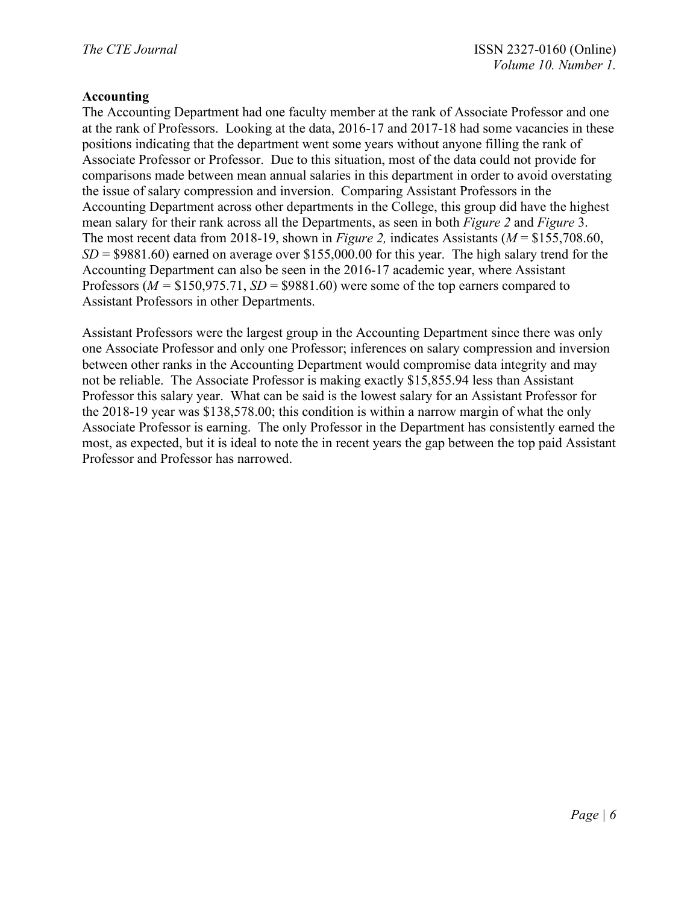### **Accounting**

The Accounting Department had one faculty member at the rank of Associate Professor and one at the rank of Professors. Looking at the data, 2016-17 and 2017-18 had some vacancies in these positions indicating that the department went some years without anyone filling the rank of Associate Professor or Professor. Due to this situation, most of the data could not provide for comparisons made between mean annual salaries in this department in order to avoid overstating the issue of salary compression and inversion. Comparing Assistant Professors in the Accounting Department across other departments in the College, this group did have the highest mean salary for their rank across all the Departments, as seen in both *Figure 2* and *Figure* 3. The most recent data from 2018-19, shown in *Figure 2,* indicates Assistants (*M* = \$155,708.60, *SD* = \$9881.60) earned on average over \$155,000.00 for this year. The high salary trend for the Accounting Department can also be seen in the 2016-17 academic year, where Assistant Professors (*M =* \$150,975.71, *SD* = \$9881.60) were some of the top earners compared to Assistant Professors in other Departments.

Assistant Professors were the largest group in the Accounting Department since there was only one Associate Professor and only one Professor; inferences on salary compression and inversion between other ranks in the Accounting Department would compromise data integrity and may not be reliable. The Associate Professor is making exactly \$15,855.94 less than Assistant Professor this salary year. What can be said is the lowest salary for an Assistant Professor for the 2018-19 year was \$138,578.00; this condition is within a narrow margin of what the only Associate Professor is earning. The only Professor in the Department has consistently earned the most, as expected, but it is ideal to note the in recent years the gap between the top paid Assistant Professor and Professor has narrowed.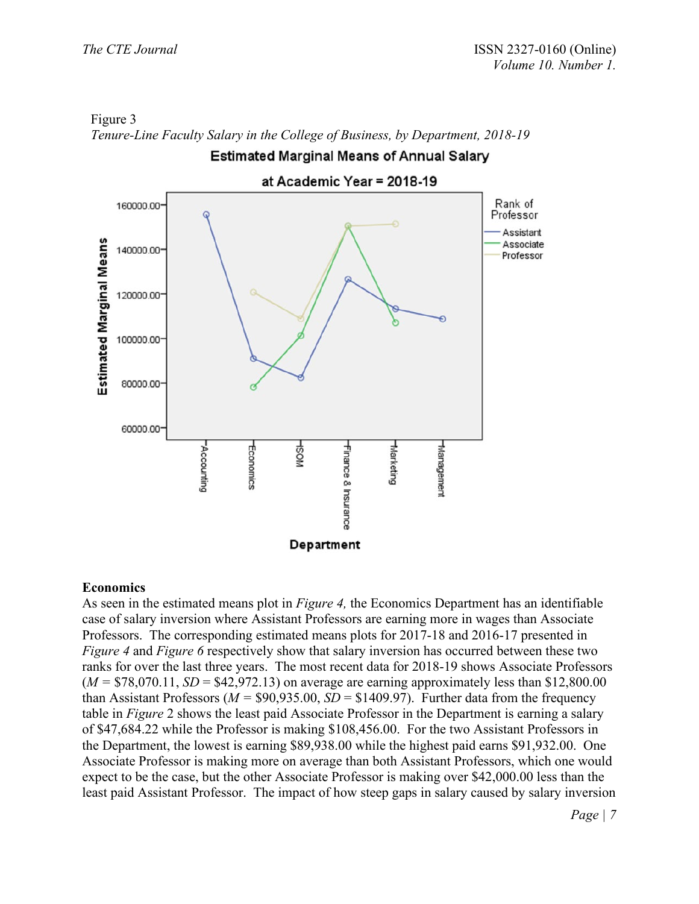

Figure 3 *Tenure-Line Faculty Salary in the College of Business, by Department, 2018-19*

#### **Economics**

As seen in the estimated means plot in *Figure 4,* the Economics Department has an identifiable case of salary inversion where Assistant Professors are earning more in wages than Associate Professors. The corresponding estimated means plots for 2017-18 and 2016-17 presented in *Figure 4* and *Figure 6* respectively show that salary inversion has occurred between these two ranks for over the last three years. The most recent data for 2018-19 shows Associate Professors  $(M = $78,070.11, SD = $42,972.13)$  on average are earning approximately less than \$12,800.00 than Assistant Professors ( $M = $90,935.00, SD = $1409.97$ ). Further data from the frequency table in *Figure* 2 shows the least paid Associate Professor in the Department is earning a salary of \$47,684.22 while the Professor is making \$108,456.00. For the two Assistant Professors in the Department, the lowest is earning \$89,938.00 while the highest paid earns \$91,932.00. One Associate Professor is making more on average than both Assistant Professors, which one would expect to be the case, but the other Associate Professor is making over \$42,000.00 less than the least paid Assistant Professor. The impact of how steep gaps in salary caused by salary inversion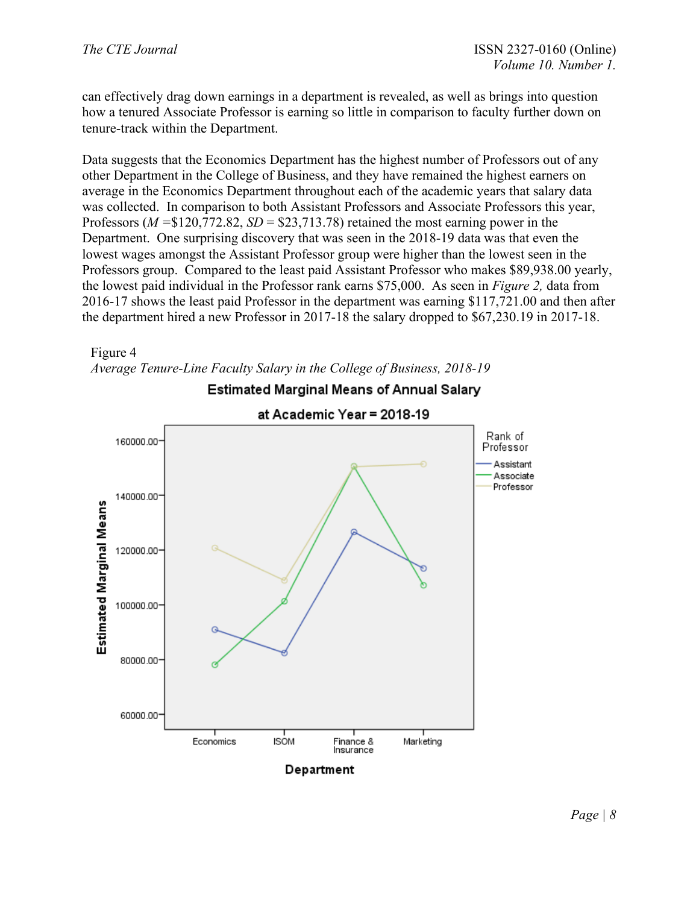can effectively drag down earnings in a department is revealed, as well as brings into question how a tenured Associate Professor is earning so little in comparison to faculty further down on tenure-track within the Department.

Data suggests that the Economics Department has the highest number of Professors out of any other Department in the College of Business, and they have remained the highest earners on average in the Economics Department throughout each of the academic years that salary data was collected. In comparison to both Assistant Professors and Associate Professors this year, Professors (*M =*\$120,772.82, *SD* = \$23,713.78) retained the most earning power in the Department. One surprising discovery that was seen in the 2018-19 data was that even the lowest wages amongst the Assistant Professor group were higher than the lowest seen in the Professors group. Compared to the least paid Assistant Professor who makes \$89,938.00 yearly, the lowest paid individual in the Professor rank earns \$75,000. As seen in *Figure 2,* data from 2016-17 shows the least paid Professor in the department was earning \$117,721.00 and then after the department hired a new Professor in 2017-18 the salary dropped to \$67,230.19 in 2017-18.



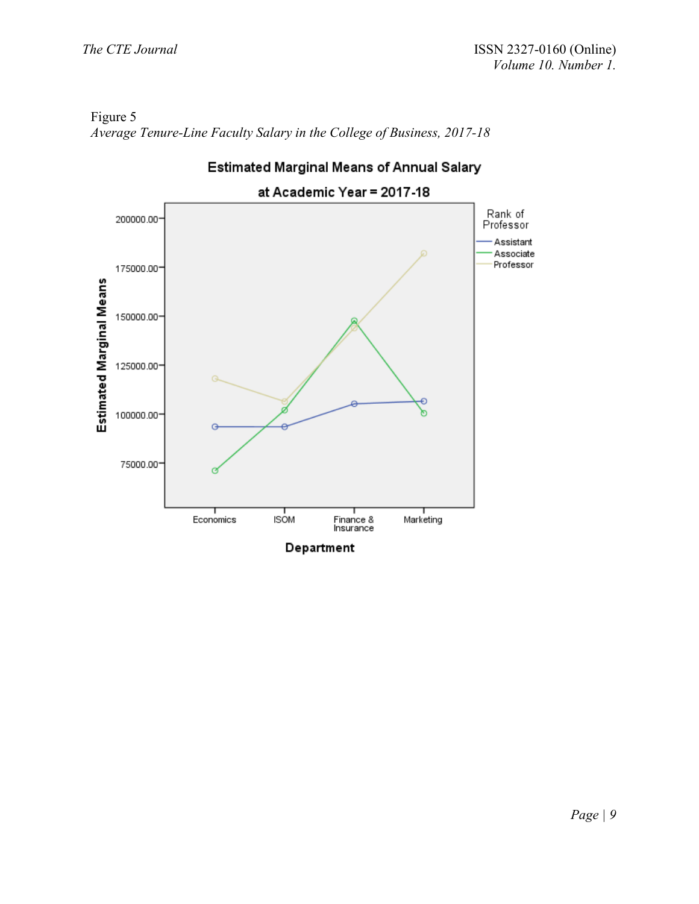



**Estimated Marginal Means of Annual Salary**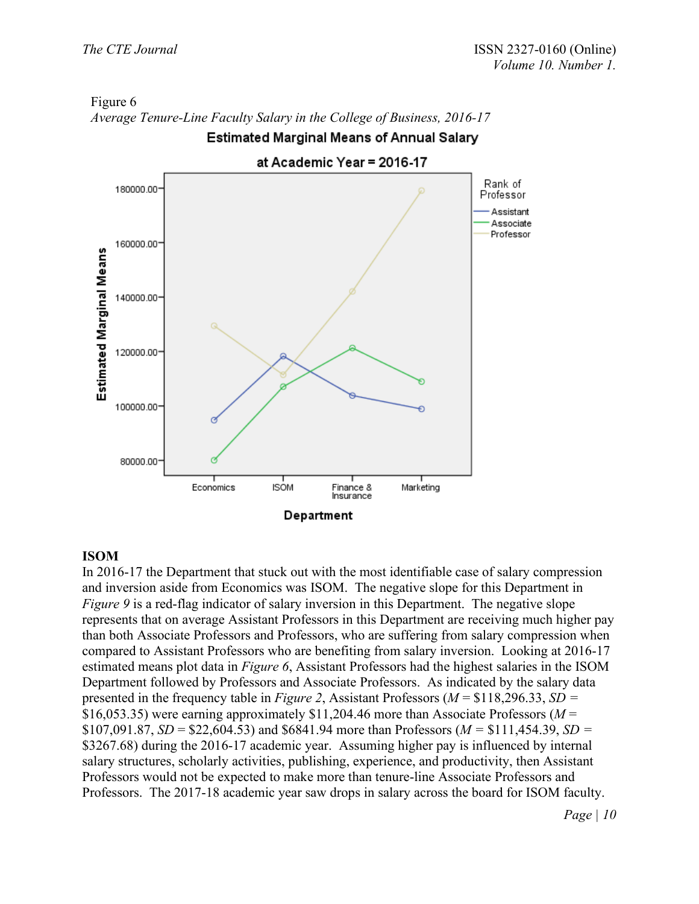

# Figure 6 *Average Tenure-Line Faculty Salary in the College of Business, 2016-17***Estimated Marginal Means of Annual Salary**

# **ISOM**

In 2016-17 the Department that stuck out with the most identifiable case of salary compression and inversion aside from Economics was ISOM. The negative slope for this Department in *Figure* 9 is a red-flag indicator of salary inversion in this Department. The negative slope represents that on average Assistant Professors in this Department are receiving much higher pay than both Associate Professors and Professors, who are suffering from salary compression when compared to Assistant Professors who are benefiting from salary inversion. Looking at 2016-17 estimated means plot data in *Figure 6*, Assistant Professors had the highest salaries in the ISOM Department followed by Professors and Associate Professors. As indicated by the salary data presented in the frequency table in *Figure 2*, Assistant Professors (*M* = \$118,296.33, *SD =*  \$16,053.35) were earning approximately \$11,204.46 more than Associate Professors (*M* = \$107,091.87,  $SD = $22,604.53$  and \$6841.94 more than Professors ( $M = $111,454.39$ ,  $SD =$ \$3267.68) during the 2016-17 academic year. Assuming higher pay is influenced by internal salary structures, scholarly activities, publishing, experience, and productivity, then Assistant Professors would not be expected to make more than tenure-line Associate Professors and Professors. The 2017-18 academic year saw drops in salary across the board for ISOM faculty.

*Page | 10*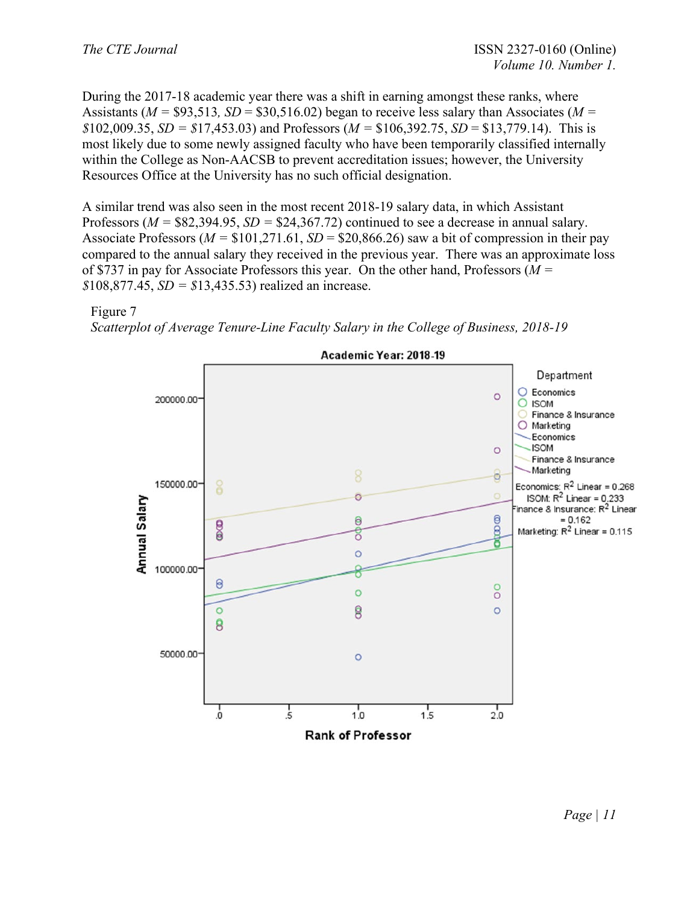During the 2017-18 academic year there was a shift in earning amongst these ranks, where Assistants ( $M = $93,513$ ,  $SD = $30,516.02$ ) began to receive less salary than Associates ( $M =$  $$102,009.35, SD = $17,453.03)$  and Professors ( $M = $106,392.75, SD = $13,779.14$ ). This is most likely due to some newly assigned faculty who have been temporarily classified internally within the College as Non-AACSB to prevent accreditation issues; however, the University Resources Office at the University has no such official designation.

A similar trend was also seen in the most recent 2018-19 salary data, in which Assistant Professors (*M =* \$82,394.95, *SD =* \$24,367.72) continued to see a decrease in annual salary. Associate Professors ( $M = $101,271.61$ ,  $SD = $20,866.26$ ) saw a bit of compression in their pay compared to the annual salary they received in the previous year. There was an approximate loss of \$737 in pay for Associate Professors this year. On the other hand, Professors (*M = \$*108,877.45, *SD = \$*13,435.53) realized an increase.



*Scatterplot of Average Tenure-Line Faculty Salary in the College of Business, 2018-19*

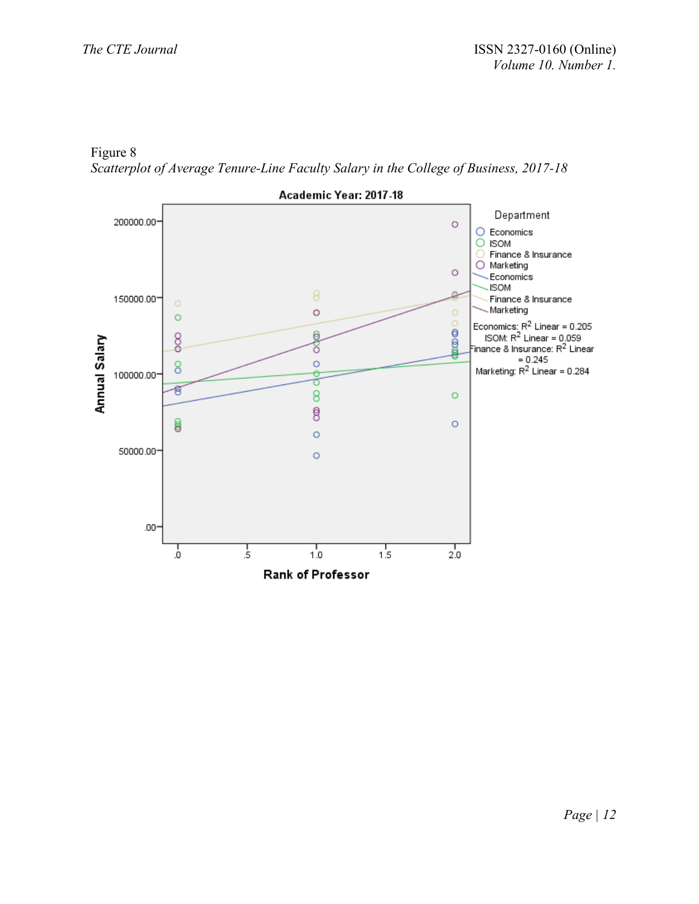Figure 8 *Scatterplot of Average Tenure-Line Faculty Salary in the College of Business, 2017-18*

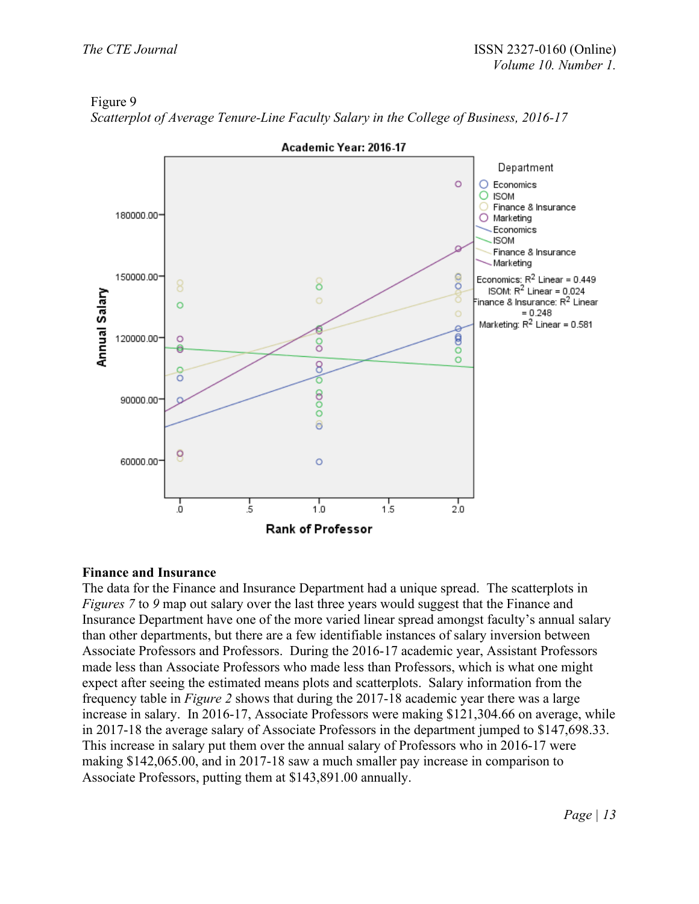## Figure 9



*Scatterplot of Average Tenure-Line Faculty Salary in the College of Business, 2016-17*

# **Finance and Insurance**

The data for the Finance and Insurance Department had a unique spread. The scatterplots in *Figures* 7 to 9 map out salary over the last three years would suggest that the Finance and Insurance Department have one of the more varied linear spread amongst faculty's annual salary than other departments, but there are a few identifiable instances of salary inversion between Associate Professors and Professors. During the 2016-17 academic year, Assistant Professors made less than Associate Professors who made less than Professors, which is what one might expect after seeing the estimated means plots and scatterplots. Salary information from the frequency table in *Figure 2* shows that during the 2017-18 academic year there was a large increase in salary. In 2016-17, Associate Professors were making \$121,304.66 on average, while in 2017-18 the average salary of Associate Professors in the department jumped to \$147,698.33. This increase in salary put them over the annual salary of Professors who in 2016-17 were making \$142,065.00, and in 2017-18 saw a much smaller pay increase in comparison to Associate Professors, putting them at \$143,891.00 annually.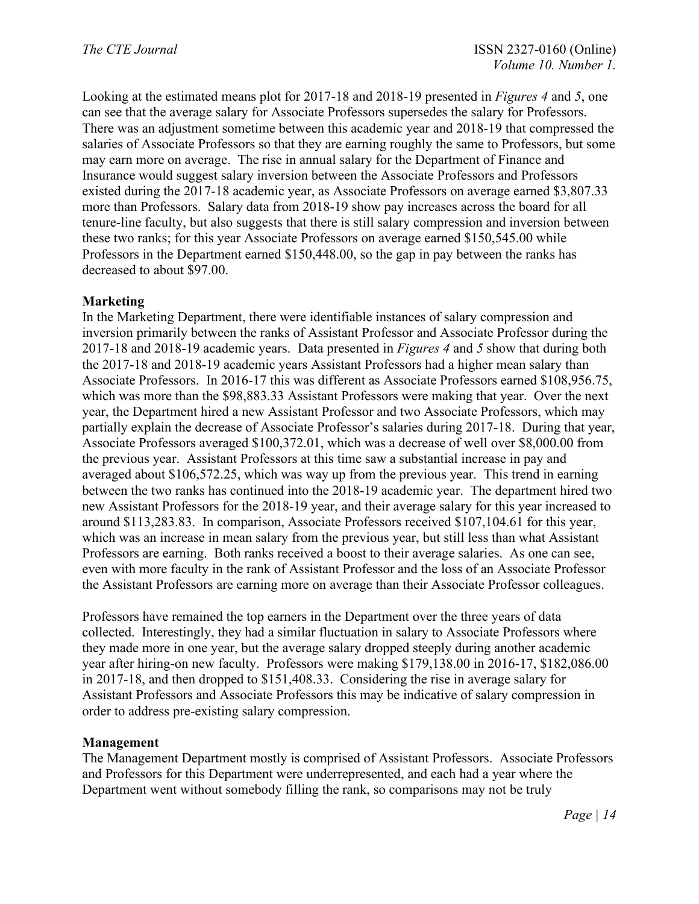Looking at the estimated means plot for 2017-18 and 2018-19 presented in *Figures 4* and *5*, one can see that the average salary for Associate Professors supersedes the salary for Professors. There was an adjustment sometime between this academic year and 2018-19 that compressed the salaries of Associate Professors so that they are earning roughly the same to Professors, but some may earn more on average. The rise in annual salary for the Department of Finance and Insurance would suggest salary inversion between the Associate Professors and Professors existed during the 2017-18 academic year, as Associate Professors on average earned \$3,807.33 more than Professors. Salary data from 2018-19 show pay increases across the board for all tenure-line faculty, but also suggests that there is still salary compression and inversion between these two ranks; for this year Associate Professors on average earned \$150,545.00 while Professors in the Department earned \$150,448.00, so the gap in pay between the ranks has decreased to about \$97.00.

### **Marketing**

In the Marketing Department, there were identifiable instances of salary compression and inversion primarily between the ranks of Assistant Professor and Associate Professor during the 2017-18 and 2018-19 academic years. Data presented in *Figures 4* and *5* show that during both the 2017-18 and 2018-19 academic years Assistant Professors had a higher mean salary than Associate Professors. In 2016-17 this was different as Associate Professors earned \$108,956.75, which was more than the \$98,883.33 Assistant Professors were making that year. Over the next year, the Department hired a new Assistant Professor and two Associate Professors, which may partially explain the decrease of Associate Professor's salaries during 2017-18. During that year, Associate Professors averaged \$100,372.01, which was a decrease of well over \$8,000.00 from the previous year. Assistant Professors at this time saw a substantial increase in pay and averaged about \$106,572.25, which was way up from the previous year. This trend in earning between the two ranks has continued into the 2018-19 academic year. The department hired two new Assistant Professors for the 2018-19 year, and their average salary for this year increased to around \$113,283.83. In comparison, Associate Professors received \$107,104.61 for this year, which was an increase in mean salary from the previous year, but still less than what Assistant Professors are earning. Both ranks received a boost to their average salaries. As one can see, even with more faculty in the rank of Assistant Professor and the loss of an Associate Professor the Assistant Professors are earning more on average than their Associate Professor colleagues.

Professors have remained the top earners in the Department over the three years of data collected. Interestingly, they had a similar fluctuation in salary to Associate Professors where they made more in one year, but the average salary dropped steeply during another academic year after hiring-on new faculty. Professors were making \$179,138.00 in 2016-17, \$182,086.00 in 2017-18, and then dropped to \$151,408.33. Considering the rise in average salary for Assistant Professors and Associate Professors this may be indicative of salary compression in order to address pre-existing salary compression.

### **Management**

The Management Department mostly is comprised of Assistant Professors. Associate Professors and Professors for this Department were underrepresented, and each had a year where the Department went without somebody filling the rank, so comparisons may not be truly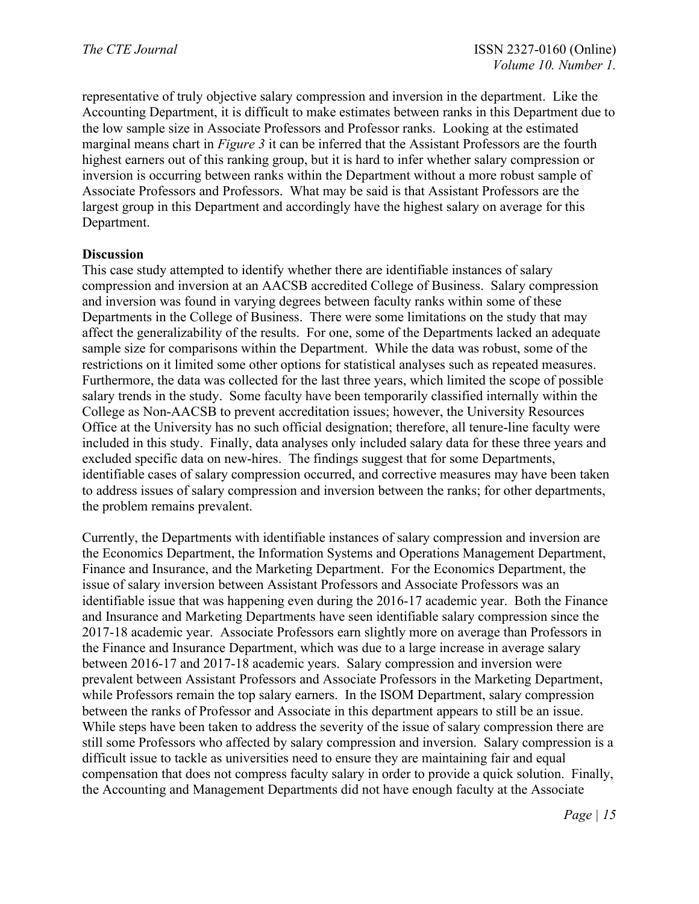representative of truly objective salary compression and inversion in the department. Like the Accounting Department, it is difficult to make estimates between ranks in this Department due to the low sample size in Associate Professors and Professor ranks. Looking at the estimated marginal means chart in *Figure 3* it can be inferred that the Assistant Professors are the fourth highest earners out of this ranking group, but it is hard to infer whether salary compression or inversion is occurring between ranks within the Department without a more robust sample of Associate Professors and Professors. What may be said is that Assistant Professors are the largest group in this Department and accordingly have the highest salary on average for this Department.

#### **Discussion**

This case study attempted to identify whether there are identifiable instances of salary compression and inversion at an AACSB accredited College of Business. Salary compression and inversion was found in varying degrees between faculty ranks within some of these Departments in the College of Business. There were some limitations on the study that may affect the generalizability of the results. For one, some of the Departments lacked an adequate sample size for comparisons within the Department. While the data was robust, some of the restrictions on it limited some other options for statistical analyses such as repeated measures. Furthermore, the data was collected for the last three years, which limited the scope of possible salary trends in the study. Some faculty have been temporarily classified internally within the College as Non-AACSB to prevent accreditation issues; however, the University Resources Office at the University has no such official designation; therefore, all tenure-line faculty were included in this study. Finally, data analyses only included salary data for these three years and excluded specific data on new-hires. The findings suggest that for some Departments, identifiable cases of salary compression occurred, and corrective measures may have been taken to address issues of salary compression and inversion between the ranks; for other departments, the problem remains prevalent.

Currently, the Departments with identifiable instances of salary compression and inversion are the Economics Department, the Information Systems and Operations Management Department, Finance and Insurance, and the Marketing Department. For the Economics Department, the issue of salary inversion between Assistant Professors and Associate Professors was an identifiable issue that was happening even during the 2016-17 academic year. Both the Finance and Insurance and Marketing Departments have seen identifiable salary compression since the 2017-18 academic year. Associate Professors earn slightly more on average than Professors in the Finance and Insurance Department, which was due to a large increase in average salary between 2016-17 and 2017-18 academic years. Salary compression and inversion were prevalent between Assistant Professors and Associate Professors in the Marketing Department, while Professors remain the top salary earners. In the ISOM Department, salary compression between the ranks of Professor and Associate in this department appears to still be an issue. While steps have been taken to address the severity of the issue of salary compression there are still some Professors who affected by salary compression and inversion. Salary compression is a difficult issue to tackle as universities need to ensure they are maintaining fair and equal compensation that does not compress faculty salary in order to provide a quick solution. Finally, the Accounting and Management Departments did not have enough faculty at the Associate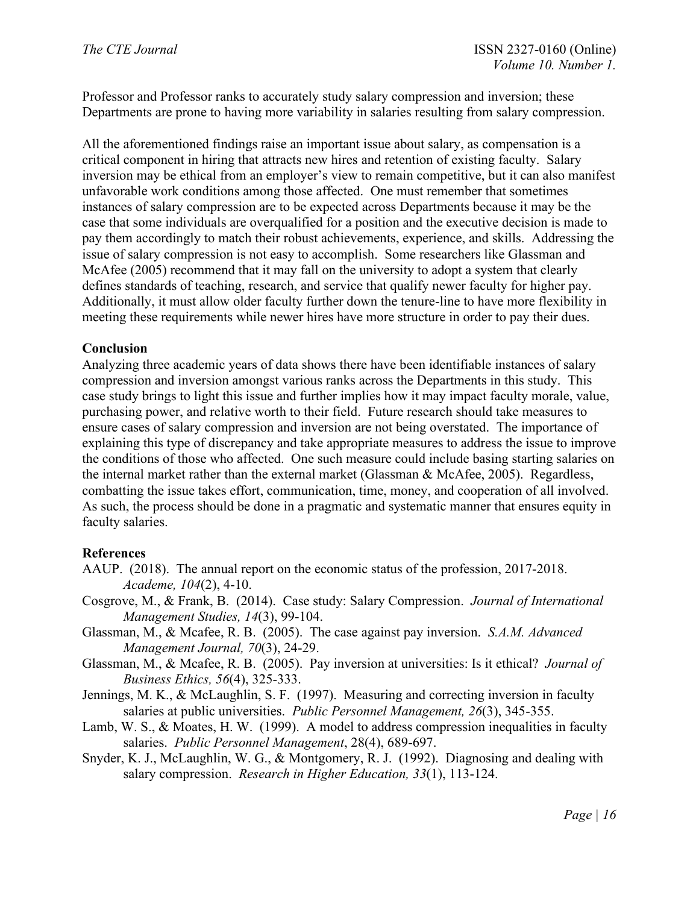Professor and Professor ranks to accurately study salary compression and inversion; these Departments are prone to having more variability in salaries resulting from salary compression.

All the aforementioned findings raise an important issue about salary, as compensation is a critical component in hiring that attracts new hires and retention of existing faculty. Salary inversion may be ethical from an employer's view to remain competitive, but it can also manifest unfavorable work conditions among those affected. One must remember that sometimes instances of salary compression are to be expected across Departments because it may be the case that some individuals are overqualified for a position and the executive decision is made to pay them accordingly to match their robust achievements, experience, and skills. Addressing the issue of salary compression is not easy to accomplish. Some researchers like Glassman and McAfee (2005) recommend that it may fall on the university to adopt a system that clearly defines standards of teaching, research, and service that qualify newer faculty for higher pay. Additionally, it must allow older faculty further down the tenure-line to have more flexibility in meeting these requirements while newer hires have more structure in order to pay their dues.

# **Conclusion**

Analyzing three academic years of data shows there have been identifiable instances of salary compression and inversion amongst various ranks across the Departments in this study. This case study brings to light this issue and further implies how it may impact faculty morale, value, purchasing power, and relative worth to their field. Future research should take measures to ensure cases of salary compression and inversion are not being overstated. The importance of explaining this type of discrepancy and take appropriate measures to address the issue to improve the conditions of those who affected. One such measure could include basing starting salaries on the internal market rather than the external market (Glassman & McAfee, 2005). Regardless, combatting the issue takes effort, communication, time, money, and cooperation of all involved. As such, the process should be done in a pragmatic and systematic manner that ensures equity in faculty salaries.

### **References**

- AAUP. (2018). The annual report on the economic status of the profession, 2017-2018. *Academe, 104*(2), 4-10.
- Cosgrove, M., & Frank, B. (2014). Case study: Salary Compression. *Journal of International Management Studies, 14*(3), 99-104.
- Glassman, M., & Mcafee, R. B. (2005). The case against pay inversion. *S.A.M. Advanced Management Journal, 70*(3), 24-29.
- Glassman, M., & Mcafee, R. B. (2005). Pay inversion at universities: Is it ethical? *Journal of Business Ethics, 56*(4), 325-333.
- Jennings, M. K., & McLaughlin, S. F. (1997). Measuring and correcting inversion in faculty salaries at public universities. *Public Personnel Management, 26*(3), 345-355.
- Lamb, W. S., & Moates, H. W. (1999). A model to address compression inequalities in faculty salaries. *Public Personnel Management*, 28(4), 689-697.
- Snyder, K. J., McLaughlin, W. G., & Montgomery, R. J. (1992). Diagnosing and dealing with salary compression. *Research in Higher Education, 33*(1), 113-124.